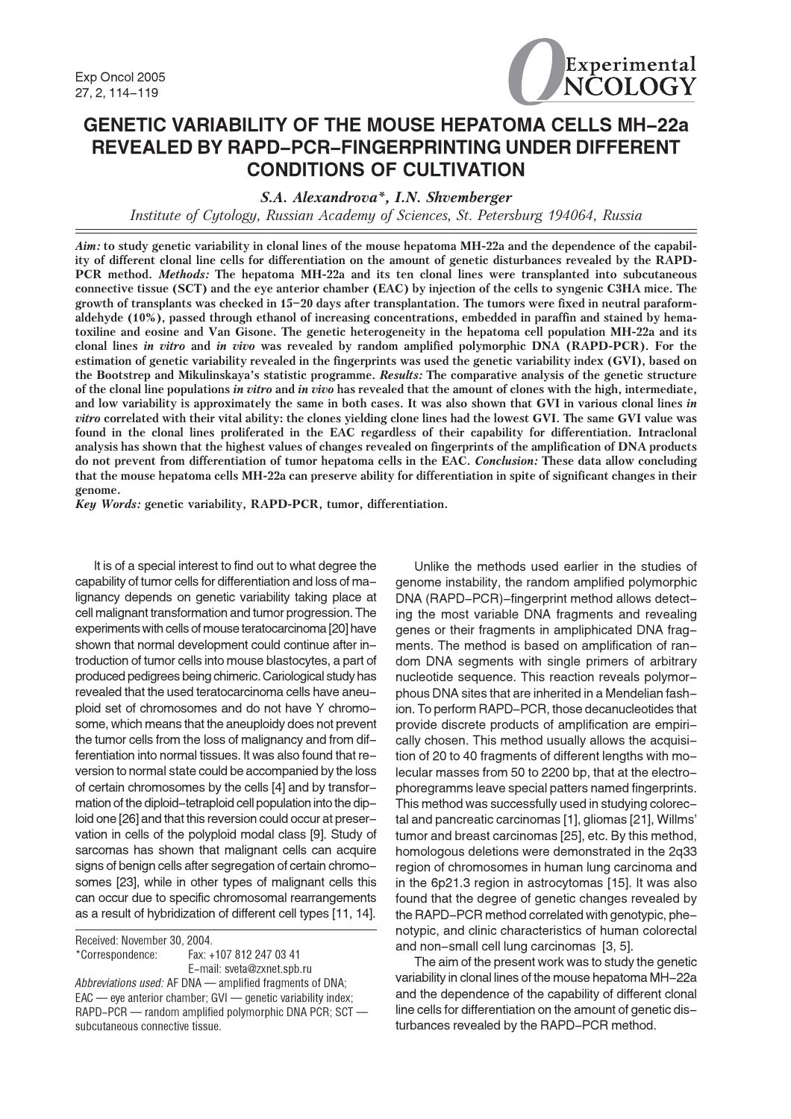

# **GENETIC VARIABILITY OF THE MOUSE HEPATOMA CELLS MH-22a** REVEALED BY RAPD-PCR-FINGERPRINTING UNDER DIFFERENT **CONDITIONS OF CULTIVATION**

S.A. Alexandrova\*, I.N. Shvemberger

Institute of Cytology, Russian Academy of Sciences, St. Petersburg 194064, Russia

Aim: to study genetic variability in clonal lines of the mouse hepatoma MH-22a and the dependence of the capability of different clonal line cells for differentiation on the amount of genetic disturbances revealed by the RAPD-PCR method. Methods: The hepatoma MH-22a and its ten clonal lines were transplanted into subcutaneous connective tissue (SCT) and the eye anterior chamber (EAC) by injection of the cells to syngenic C3HA mice. The growth of transplants was checked in 15-20 days after transplantation. The tumors were fixed in neutral paraformaldehyde (10%), passed through ethanol of increasing concentrations, embedded in paraffin and stained by hematoxiline and eosine and Van Gisone. The genetic heterogeneity in the hepatoma cell population MH-22a and its clonal lines in vitro and in vivo was revealed by random amplified polymorphic DNA (RAPD-PCR). For the estimation of genetic variability revealed in the fingerprints was used the genetic variability index (GVI), based on the Bootstrep and Mikulinskaya's statistic programme. Results: The comparative analysis of the genetic structure of the clonal line populations in vitro and in vivo has revealed that the amount of clones with the high, intermediate, and low variability is approximately the same in both cases. It was also shown that GVI in various clonal lines in *vitro* correlated with their vital ability: the clones yielding clone lines had the lowest GVI. The same GVI value was found in the clonal lines proliferated in the EAC regardless of their capability for differentiation. Intraclonal analysis has shown that the highest values of changes revealed on fingerprints of the amplification of DNA products do not prevent from differentiation of tumor hepatoma cells in the EAC. Conclusion: These data allow concluding that the mouse hepatoma cells MH-22a can preserve ability for differentiation in spite of significant changes in their genome.

Key Words: genetic variability, RAPD-PCR, tumor, differentiation.

It is of a special interest to find out to what degree the capability of tumor cells for differentiation and loss of malignancy depends on genetic variability taking place at cell malignant transformation and tumor progression. The experiments with cells of mouse teratocarcinoma [20] have shown that normal development could continue after introduction of tumor cells into mouse blastocytes, a part of produced pedigrees being chimeric. Cariological study has revealed that the used teratocarcinoma cells have aneuploid set of chromosomes and do not have Y chromosome, which means that the aneuploidy does not prevent the tumor cells from the loss of malignancy and from differentiation into normal tissues. It was also found that reversion to normal state could be accompanied by the loss of certain chromosomes by the cells [4] and by transformation of the diploid-tetraploid cell population into the diploid one [26] and that this reversion could occur at preservation in cells of the polyploid modal class [9]. Study of sarcomas has shown that malignant cells can acquire signs of benign cells after segregation of certain chromosomes [23], while in other types of malignant cells this can occur due to specific chromosomal rearrangements as a result of hybridization of different cell types [11, 14].

Received: November 30, 2004. \*Correspondence: Fax: +107 812 247 03 41 E-mail: sveta@zxnet.spb.ru Abbreviations used: AF DNA - amplified fragments of DNA; EAC — eye anterior chamber; GVI — genetic variability index; RAPD-PCR - random amplified polymorphic DNA PCR; SCT subcutaneous connective tissue.

Unlike the methods used earlier in the studies of genome instability, the random amplified polymorphic DNA (RAPD-PCR)-fingerprint method allows detecting the most variable DNA fragments and revealing genes or their fragments in ampliphicated DNA fragments. The method is based on amplification of random DNA segments with single primers of arbitrary nucleotide sequence. This reaction reveals polymorphous DNA sites that are inherited in a Mendelian fashion. To perform RAPD-PCR, those decanucleotides that provide discrete products of amplification are empirically chosen. This method usually allows the acquisition of 20 to 40 fragments of different lengths with molecular masses from 50 to 2200 bp, that at the electrophoregramms leave special patters named fingerprints. This method was successfully used in studying colorectal and pancreatic carcinomas [1], gliomas [21], Willms' tumor and breast carcinomas [25], etc. By this method, homologous deletions were demonstrated in the 2g33 region of chromosomes in human lung carcinoma and in the 6p21.3 region in astrocytomas [15]. It was also found that the degree of genetic changes revealed by the RAPD-PCR method correlated with genotypic, phenotypic, and clinic characteristics of human colorectal and non-small cell lung carcinomas [3, 5].

The aim of the present work was to study the genetic variability in clonal lines of the mouse hepatoma MH-22a and the dependence of the capability of different clonal line cells for differentiation on the amount of genetic disturbances revealed by the RAPD-PCR method.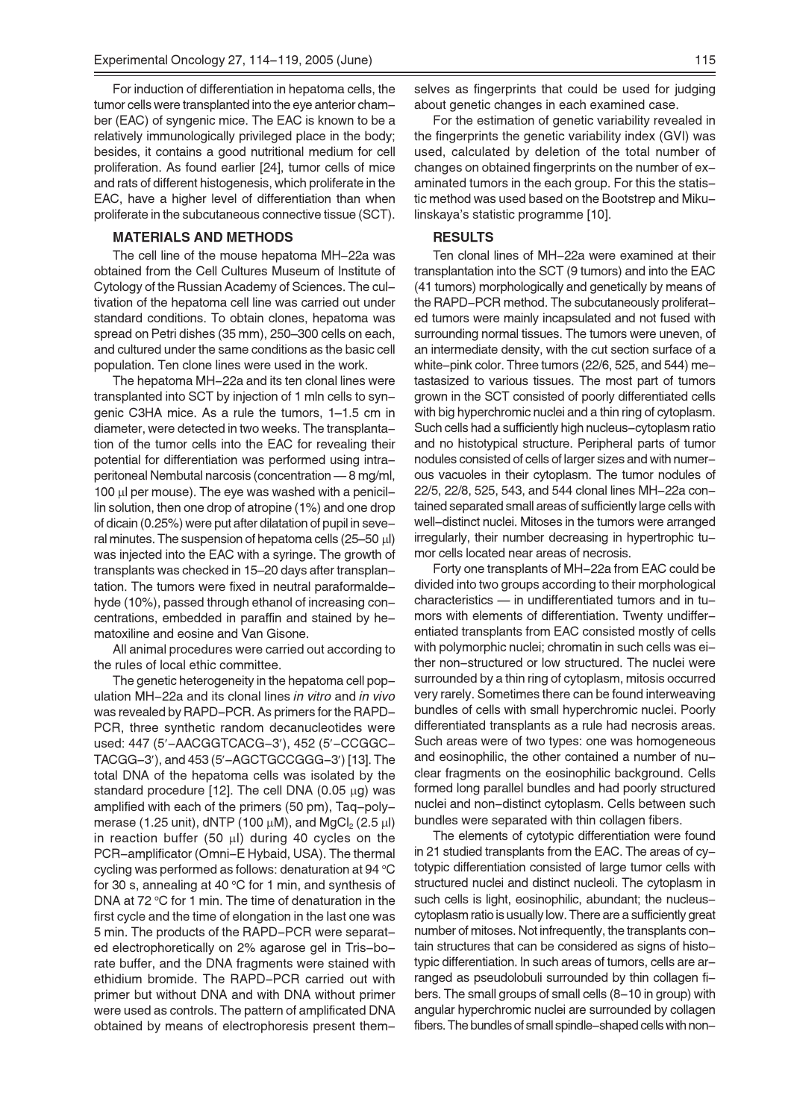For induction of differentiation in hepatoma cells, the tumor cells were transplanted into the eye anterior chamber (EAC) of syngenic mice. The EAC is known to be a relatively immunologically privileged place in the body; besides, it contains a good nutritional medium for cell proliferation. As found earlier [24], tumor cells of mice and rats of different histogenesis, which proliferate in the EAC, have a higher level of differentiation than when proliferate in the subcutaneous connective tissue (SCT).

### **MATERIALS AND METHODS**

The cell line of the mouse hepatoma MH-22a was obtained from the Cell Cultures Museum of Institute of Cytology of the Russian Academy of Sciences. The cultivation of the hepatoma cell line was carried out under standard conditions. To obtain clones, hepatoma was spread on Petri dishes (35 mm), 250-300 cells on each, and cultured under the same conditions as the basic cell population. Ten clone lines were used in the work.

The hepatoma MH-22a and its ten clonal lines were transplanted into SCT by injection of 1 mln cells to syngenic C3HA mice. As a rule the tumors, 1-1.5 cm in diameter, were detected in two weeks. The transplantation of the tumor cells into the EAC for revealing their potential for differentiation was performed using intraperitoneal Nembutal narcosis (concentration -8 mg/ml, 100 µl per mouse). The eye was washed with a penicillin solution, then one drop of atropine (1%) and one drop of dicain (0.25%) were put after dilatation of pupil in several minutes. The suspension of hepatoma cells ( $25-50 \mu$ l) was injected into the EAC with a syringe. The growth of transplants was checked in 15-20 days after transplantation. The tumors were fixed in neutral paraformaldehyde (10%), passed through ethanol of increasing concentrations, embedded in paraffin and stained by hematoxiline and eosine and Van Gisone.

All animal procedures were carried out according to the rules of local ethic committee.

The genetic heterogeneity in the hepatoma cell population MH-22a and its clonal lines in vitro and in vivo was revealed by RAPD-PCR. As primers for the RAPD-PCR, three synthetic random decanucleotides were used: 447 (5'-AACGGTCACG-3'), 452 (5'-CCGGC-TACGG-3'), and 453 (5'-AGCTGCCGGG-3') [13]. The total DNA of the hepatoma cells was isolated by the standard procedure [12]. The cell DNA (0.05  $\mu$ g) was amplified with each of the primers (50 pm), Taq-polymerase (1.25 unit), dNTP (100  $\mu$ M), and MgCl<sub>2</sub> (2.5  $\mu$ l) in reaction buffer (50  $\mu$ I) during 40 cycles on the PCR-amplificator (Omni-E Hybaid, USA). The thermal cycling was performed as follows: denaturation at 94 °C for 30 s, annealing at 40 °C for 1 min, and synthesis of DNA at 72 °C for 1 min. The time of denaturation in the first cycle and the time of elongation in the last one was 5 min. The products of the RAPD-PCR were separated electrophoretically on 2% agarose gel in Tris-borate buffer, and the DNA fragments were stained with ethidium bromide. The RAPD-PCR carried out with primer but without DNA and with DNA without primer were used as controls. The pattern of amplificated DNA obtained by means of electrophoresis present themselves as fingerprints that could be used for judging about genetic changes in each examined case.

For the estimation of genetic variability revealed in the fingerprints the genetic variability index (GVI) was used, calculated by deletion of the total number of changes on obtained fingerprints on the number of examinated tumors in the each group. For this the statistic method was used based on the Bootstrep and Mikulinskaya's statistic programme [10].

#### **RESULTS**

Ten clonal lines of MH-22a were examined at their transplantation into the SCT (9 tumors) and into the EAC (41 tumors) morphologically and genetically by means of the RAPD-PCR method. The subcutaneously proliferated tumors were mainly incapsulated and not fused with surrounding normal tissues. The tumors were uneven, of an intermediate density, with the cut section surface of a white-pink color. Three tumors (22/6, 525, and 544) metastasized to various tissues. The most part of tumors grown in the SCT consisted of poorly differentiated cells with big hyperchromic nuclei and a thin ring of cytoplasm. Such cells had a sufficiently high nucleus-cytoplasm ratio and no histotypical structure. Peripheral parts of tumor nodules consisted of cells of larger sizes and with numerous vacuoles in their cytoplasm. The tumor nodules of 22/5, 22/8, 525, 543, and 544 clonal lines MH-22a contained separated small areas of sufficiently large cells with well-distinct nuclei. Mitoses in the tumors were arranged irregularly, their number decreasing in hypertrophic tumor cells located near areas of necrosis.

Forty one transplants of MH-22a from EAC could be divided into two groups according to their morphological characteristics - in undifferentiated tumors and in tumors with elements of differentiation. Twenty undifferentiated transplants from EAC consisted mostly of cells with polymorphic nuclei; chromatin in such cells was either non-structured or low structured. The nuclei were surrounded by a thin ring of cytoplasm, mitosis occurred very rarely. Sometimes there can be found interweaving bundles of cells with small hyperchromic nuclei. Poorly differentiated transplants as a rule had necrosis areas. Such areas were of two types: one was homogeneous and eosinophilic, the other contained a number of nuclear fragments on the eosinophilic background. Cells formed long parallel bundles and had poorly structured nuclei and non-distinct cytoplasm. Cells between such bundles were separated with thin collagen fibers.

The elements of cytotypic differentiation were found in 21 studied transplants from the EAC. The areas of cytotypic differentiation consisted of large tumor cells with structured nuclei and distinct nucleoli. The cytoplasm in such cells is light, eosinophilic, abundant; the nucleuscytoplasm ratio is usually low. There are a sufficiently great number of mitoses. Not infrequently, the transplants contain structures that can be considered as signs of histotypic differentiation. In such areas of tumors, cells are arranged as pseudolobuli surrounded by thin collagen fibers. The small groups of small cells (8-10 in group) with angular hyperchromic nuclei are surrounded by collagen fibers. The bundles of small spindle-shaped cells with non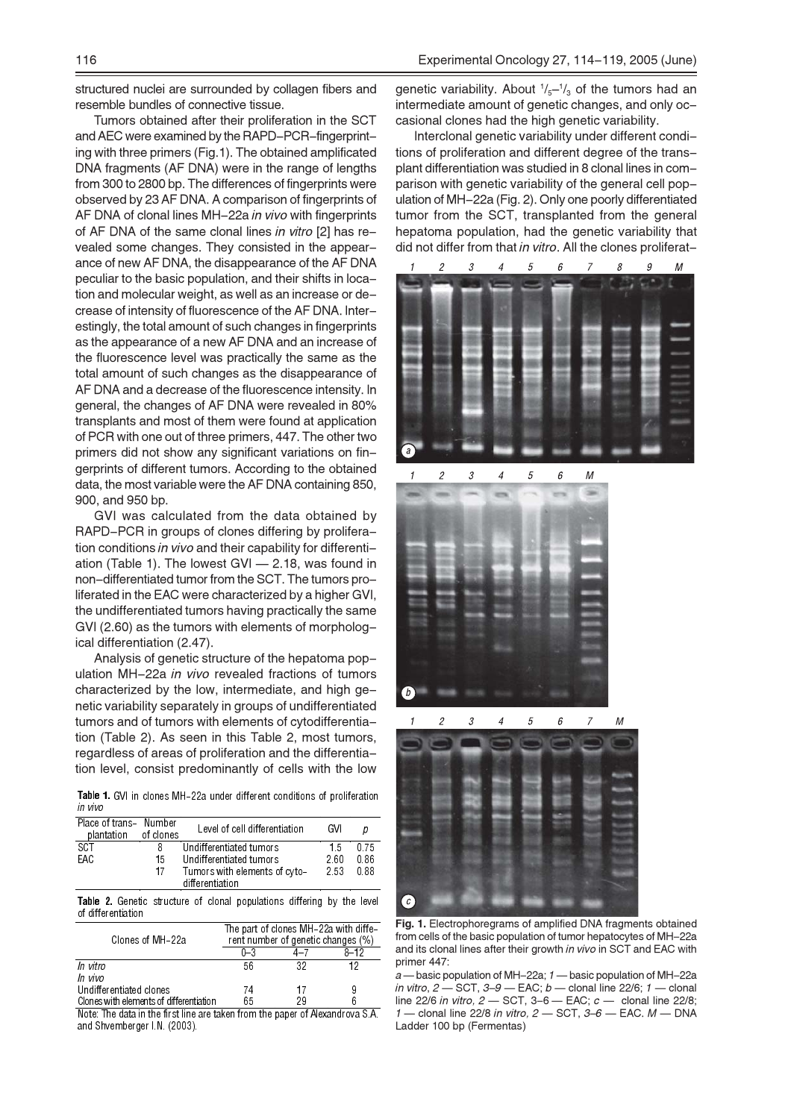structured nuclei are surrounded by collagen fibers and resemble bundles of connective tissue.

Tumors obtained after their proliferation in the SCT and AEC were examined by the RAPD-PCR-fingerprinting with three primers (Fig.1). The obtained amplificated DNA fragments (AF DNA) were in the range of lengths from 300 to 2800 bp. The differences of fingerprints were observed by 23 AF DNA. A comparison of fingerprints of AF DNA of clonal lines MH-22a in vivo with fingerprints of AF DNA of the same clonal lines in vitro [2] has revealed some changes. They consisted in the appearance of new AF DNA, the disappearance of the AF DNA peculiar to the basic population, and their shifts in location and molecular weight, as well as an increase or decrease of intensity of fluorescence of the AF DNA. Interestingly, the total amount of such changes in fingerprints as the appearance of a new AF DNA and an increase of the fluorescence level was practically the same as the total amount of such changes as the disappearance of AF DNA and a decrease of the fluorescence intensity. In general, the changes of AF DNA were revealed in 80% transplants and most of them were found at application of PCR with one out of three primers, 447. The other two primers did not show any significant variations on fingerprints of different tumors. According to the obtained data, the most variable were the AF DNA containing 850, 900, and 950 bp.

GVI was calculated from the data obtained by RAPD-PCR in groups of clones differing by proliferation conditions in vivo and their capability for differentiation (Table 1). The lowest GVI - 2.18, was found in non-differentiated tumor from the SCT. The tumors proliferated in the EAC were characterized by a higher GVI, the undifferentiated tumors having practically the same GVI (2.60) as the tumors with elements of morphological differentiation (2.47).

Analysis of genetic structure of the hepatoma population MH-22a in vivo revealed fractions of tumors characterized by the low, intermediate, and high genetic variability separately in groups of undifferentiated tumors and of tumors with elements of cytodifferentiation (Table 2). As seen in this Table 2, most tumors, regardless of areas of proliferation and the differentiation level, consist predominantly of cells with the low

Table 1. GVI in clones MH-22a under different conditions of proliferation in vivo

| Place of trans- Number<br>plantation | of clones | Level of cell differentiation                    | GVI  |      |
|--------------------------------------|-----------|--------------------------------------------------|------|------|
| <b>SCT</b>                           | 8         | Undifferentiated tumors                          | 15   | 0.75 |
| EAC                                  | 15        | Undifferentiated tumors                          | 2.60 | 0.86 |
|                                      | 17        | Tumors with elements of cyto-<br>differentiation | 2.53 | 0.88 |

Table 2. Genetic structure of clonal populations differing by the level of differentiation

| Clones of MH-22a                        | The part of clones MH-22a with diffe-<br>rent number of genetic changes (%) |     |      |  |
|-----------------------------------------|-----------------------------------------------------------------------------|-----|------|--|
|                                         | በ–3                                                                         | 4–7 | 8–12 |  |
| In vitro                                | 56                                                                          | 39  | 19   |  |
| In vivo                                 |                                                                             |     |      |  |
| Undifferentiated clones                 | 74                                                                          | 17  | 9    |  |
| Clones with elements of differentiation | ፍፍ                                                                          |     |      |  |

Note: The data in the first line are taken from the paper of Alexandrova S.A. and Shvemberger I.N. (2003).

genetic variability. About  $\frac{1}{5} - \frac{1}{3}$  of the tumors had an intermediate amount of genetic changes, and only occasional clones had the high genetic variability.

Interclonal genetic variability under different conditions of proliferation and different degree of the transplant differentiation was studied in 8 clonal lines in comparison with genetic variability of the general cell population of MH-22a (Fig. 2). Only one poorly differentiated tumor from the SCT, transplanted from the general hepatoma population, had the genetic variability that did not differ from that in vitro. All the clones proliferat-



Fig. 1. Electrophoregrams of amplified DNA fragments obtained from cells of the basic population of tumor hepatocytes of MH-22a and its clonal lines after their growth in vivo in SCT and EAC with primer 447:

 $a$  — basic population of MH-22a;  $1$  — basic population of MH-22a in vitro,  $2$  - SCT,  $3-9$  - EAC;  $b$  - clonal line 22/6;  $1$  - clonal line 22/6 in vitro,  $2 -$  SCT,  $3-6 -$  EAC;  $c -$  clonal line 22/8; - clonal line 22/8 in vitro,  $2$  - SCT,  $3-6$  - EAC.  $M$  - DNA Ladder 100 bp (Fermentas)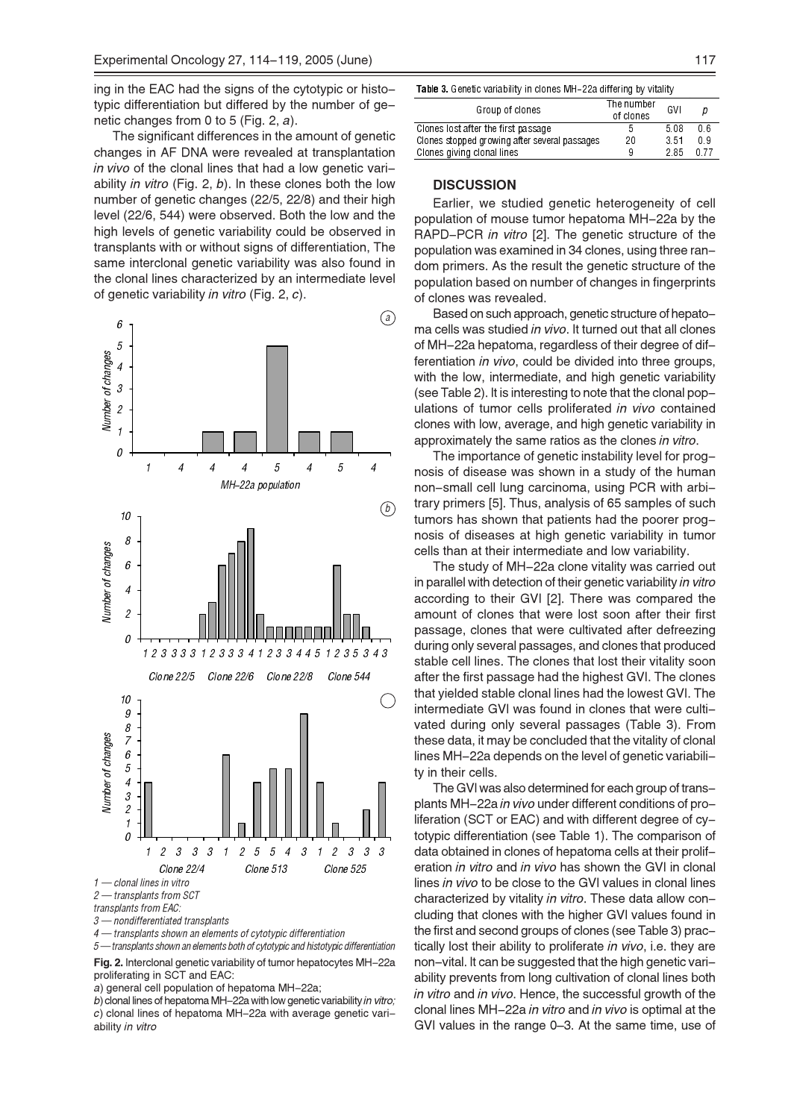ing in the EAC had the signs of the cytotypic or histotypic differentiation but differed by the number of genetic changes from 0 to 5 (Fig. 2, a).

The significant differences in the amount of genetic changes in AF DNA were revealed at transplantation in vivo of the clonal lines that had a low genetic variability in vitro (Fig. 2, b). In these clones both the low number of genetic changes (22/5, 22/8) and their high level (22/6, 544) were observed. Both the low and the high levels of genetic variability could be observed in transplants with or without signs of differentiation, The same interclonal genetic variability was also found in the clonal lines characterized by an intermediate level of genetic variability in vitro (Fig. 2, c).



3 - nondifferentiated transplants

4 - transplants shown an elements of cytotypic differentiation

 $5 -$ -transplants shown an elements both of cytotypic and histotypic differentiation Fig. 2. Interclonal genetic variability of tumor hepatocytes MH-22a

proliferating in SCT and EAC:

a) general cell population of hepatoma MH-22a;

b) clonal lines of hepatoma MH-22a with low genetic variability in vitro: c) clonal lines of hepatoma MH-22a with average genetic variability in vitro

| Group of clones                               | The number<br>of clones | GVI  |      |
|-----------------------------------------------|-------------------------|------|------|
| Clones lost after the first passage           | 5                       | 5.08 | 0 6  |
| Clones stopped growing after several passages | 20                      | 3.51 | 0 9  |
| Clones giving clonal lines                    | 9                       | 285  | 0 77 |
|                                               |                         |      |      |

## **DISCUSSION**

Earlier, we studied genetic heterogeneity of cell population of mouse tumor hepatoma MH-22a by the RAPD-PCR in vitro [2]. The genetic structure of the population was examined in 34 clones, using three random primers. As the result the genetic structure of the population based on number of changes in fingerprints of clones was revealed.

Based on such approach, genetic structure of hepatoma cells was studied in vivo. It turned out that all clones of MH-22a hepatoma, regardless of their degree of differentiation in vivo, could be divided into three groups, with the low, intermediate, and high genetic variability (see Table 2). It is interesting to note that the clonal populations of tumor cells proliferated in vivo contained clones with low, average, and high genetic variability in approximately the same ratios as the clones in vitro.

The importance of genetic instability level for prognosis of disease was shown in a study of the human non-small cell lung carcinoma, using PCR with arbitrary primers [5]. Thus, analysis of 65 samples of such tumors has shown that patients had the poorer prognosis of diseases at high genetic variability in tumor cells than at their intermediate and low variability.

The study of MH-22a clone vitality was carried out in parallel with detection of their genetic variability in vitro according to their GVI [2]. There was compared the amount of clones that were lost soon after their first passage, clones that were cultivated after defreezing during only several passages, and clones that produced stable cell lines. The clones that lost their vitality soon after the first passage had the highest GVI. The clones that yielded stable clonal lines had the lowest GVI. The intermediate GVI was found in clones that were cultivated during only several passages (Table 3). From these data, it may be concluded that the vitality of clonal lines MH-22a depends on the level of genetic variability in their cells.

The GVI was also determined for each group of transplants MH-22a in vivo under different conditions of proliferation (SCT or EAC) and with different degree of cytotypic differentiation (see Table 1). The comparison of data obtained in clones of hepatoma cells at their proliferation in vitro and in vivo has shown the GVI in clonal lines in vivo to be close to the GVI values in clonal lines characterized by vitality in vitro. These data allow concluding that clones with the higher GVI values found in the first and second groups of clones (see Table 3) practically lost their ability to proliferate in vivo, i.e. they are non-vital. It can be suggested that the high genetic variability prevents from long cultivation of clonal lines both in vitro and in vivo. Hence, the successful growth of the clonal lines MH-22a in vitro and in vivo is optimal at the GVI values in the range 0-3. At the same time, use of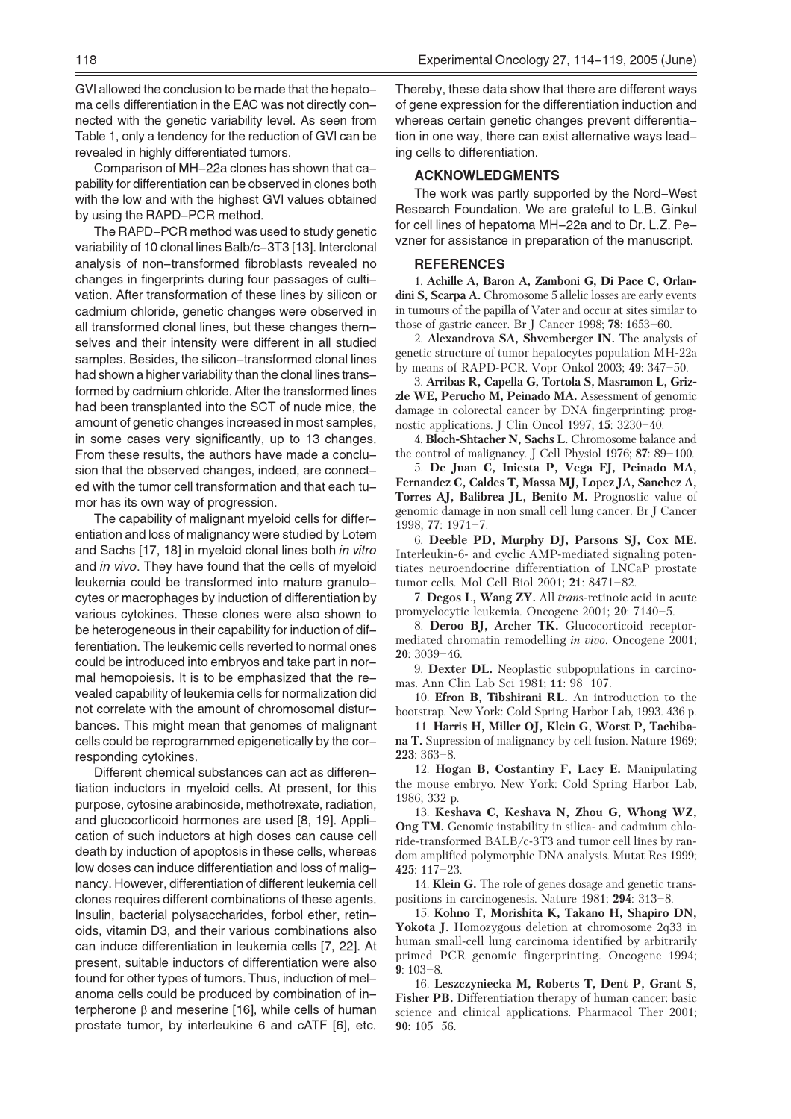GVI allowed the conclusion to be made that the hepatoma cells differentiation in the EAC was not directly connected with the genetic variability level. As seen from Table 1, only a tendency for the reduction of GVI can be revealed in highly differentiated tumors.

Comparison of MH-22a clones has shown that capability for differentiation can be observed in clones both with the low and with the highest GVI values obtained by using the RAPD-PCR method.

The RAPD-PCR method was used to study genetic variability of 10 clonal lines Balb/c-3T3 [13]. Interclonal analysis of non-transformed fibroblasts revealed no changes in fingerprints during four passages of cultivation. After transformation of these lines by silicon or cadmium chloride, genetic changes were observed in all transformed clonal lines, but these changes themselves and their intensity were different in all studied samples. Besides, the silicon-transformed clonal lines had shown a higher variability than the clonal lines transformed by cadmium chloride. After the transformed lines had been transplanted into the SCT of nude mice, the amount of genetic changes increased in most samples, in some cases very significantly, up to 13 changes. From these results, the authors have made a conclusion that the observed changes, indeed, are connected with the tumor cell transformation and that each tumor has its own way of progression.

The capability of malignant myeloid cells for differentiation and loss of malignancy were studied by Lotem and Sachs [17, 18] in myeloid clonal lines both in vitro and in vivo. They have found that the cells of myeloid leukemia could be transformed into mature granulocytes or macrophages by induction of differentiation by various cytokines. These clones were also shown to be heterogeneous in their capability for induction of differentiation. The leukemic cells reverted to normal ones could be introduced into embryos and take part in normal hemopoiesis. It is to be emphasized that the revealed capability of leukemia cells for normalization did not correlate with the amount of chromosomal disturbances. This might mean that genomes of malignant cells could be reprogrammed epigenetically by the corresponding cytokines.

Different chemical substances can act as differentiation inductors in myeloid cells. At present, for this purpose, cytosine arabinoside, methotrexate, radiation, and glucocorticoid hormones are used [8, 19]. Application of such inductors at high doses can cause cell death by induction of apoptosis in these cells, whereas low doses can induce differentiation and loss of malignancy. However, differentiation of different leukemia cell clones requires different combinations of these agents. Insulin, bacterial polysaccharides, forbol ether, retinoids, vitamin D3, and their various combinations also can induce differentiation in leukemia cells [7, 22]. At present, suitable inductors of differentiation were also found for other types of tumors. Thus, induction of melanoma cells could be produced by combination of interpherone  $\beta$  and meserine [16], while cells of human prostate tumor, by interleukine 6 and cATF [6], etc.

Thereby, these data show that there are different ways of gene expression for the differentiation induction and whereas certain genetic changes prevent differentiation in one way, there can exist alternative ways leading cells to differentiation.

#### **ACKNOWLEDGMENTS**

The work was partly supported by the Nord-West Research Foundation. We are grateful to L.B. Ginkul for cell lines of hepatoma MH-22a and to Dr. L.Z. Pevzner for assistance in preparation of the manuscript.

### **REFERENCES**

1. Achille A, Baron A, Zamboni G, Di Pace C, Orlandini S, Scarpa A. Chromosome 5 allelic losses are early events in tumours of the papilla of Vater and occur at sites similar to those of gastric cancer. Br J Cancer 1998;  $78:1653-60$ .

2. Alexandrova SA, Shvemberger IN. The analysis of genetic structure of tumor hepatocytes population MH-22a by means of RAPD-PCR. Vopr Onkol 2003;  $49: 347-50$ .

3. Arribas R, Capella G, Tortola S, Masramon L, Grizzle WE, Perucho M, Peinado MA. Assessment of genomic damage in colorectal cancer by DNA fingerprinting: prognostic applications. J Clin Oncol 1997; 15: 3230-40.

4. Bloch-Shtacher N, Sachs L. Chromosome balance and the control of malignancy. J Cell Physiol 1976; 87: 89-100.

5. De Juan C, Iniesta P, Vega FJ, Peinado MA, Fernandez C, Caldes T, Massa MJ, Lopez JA, Sanchez A, Torres AJ, Balibrea JL, Benito M. Prognostic value of genomic damage in non small cell lung cancer. Br J Cancer  $1998: 77: 1971 - 7$ 

6. Deeble PD, Murphy DJ, Parsons SJ, Cox ME. Interleukin-6- and cyclic AMP-mediated signaling potentiates neuroendocrine differentiation of LNCaP prostate tumor cells. Mol Cell Biol 2001; 21: 8471-82.

7. Degos L, Wang ZY. All trans-retinoic acid in acute promyelocytic leukemia. Oncogene 2001; 20: 7140-5.

8. Deroo BJ, Archer TK. Glucocorticoid receptormediated chromatin remodelling in vivo. Oncogene 2001;  $20:3039-46$ 

9. Dexter DL. Neoplastic subpopulations in carcinomas. Ann Clin Lab Sci 1981; 11: 98-107.

10. Efron B, Tibshirani RL. An introduction to the bootstrap. New York: Cold Spring Harbor Lab, 1993. 436 p.

11. Harris H, Miller OJ, Klein G, Worst P, Tachiba**na T.** Supression of malignancy by cell fusion. Nature 1969;  $223:363-8.$ 

12. Hogan B, Costantiny F, Lacy E. Manipulating the mouse embryo. New York: Cold Spring Harbor Lab, 1986; 332 p.

13. Keshava C, Keshava N, Zhou G, Whong WZ, **Ong TM.** Genomic instability in silica- and cadmium chloride-transformed BALB/c-3T3 and tumor cell lines by random amplified polymorphic DNA analysis. Mutat Res 1999;  $425:117-23.$ 

14. Klein G. The role of genes dosage and genetic transpositions in carcinogenesis. Nature 1981; 294: 313-8.

15. Kohno T, Morishita K, Takano H, Shapiro DN, **Yokota J.** Homozygous deletion at chromosome 2q33 in human small-cell lung carcinoma identified by arbitrarily primed PCR genomic fingerprinting. Oncogene 1994;  $9.103 - 8$ 

16. Leszczyniecka M, Roberts T, Dent P, Grant S, Fisher PB. Differentiation therapy of human cancer: basic science and clinical applications. Pharmacol Ther 2001;  $90:105 - 56$